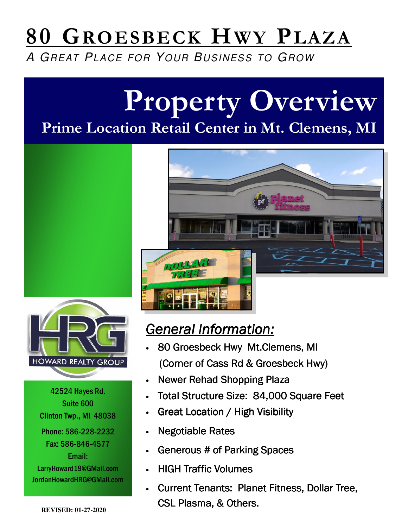# 80 GROESBECK HWY PLAZA

A GREAT PLACE FOR YOUR BUSINESS TO GROW

## Property Overview Prime Location Retail Center in Mt. Clemens, MI



42524 Hayes Rd. Suite 600 Clinton Twp., MI 48038 Phone: 586-228-2232 Fax: 586-846-4577 Email: LarryHoward19@GMail.com JordanHowardHRG@GMail.com



#### General Information:

- 80 Groesbeck Hwy Mt.Clemens, MI (Corner of Cass Rd & Groesbeck Hwy)
- **Newer Rehad Shopping Plaza**
- Total Structure Size: 84,000 Square Feet
- Great Location / High Visibility
- **Negotiable Rates**
- $\cdot$  Generous # of Parking Spaces
- HIGH Traffic Volumes
- Current Tenants: Planet Fitness, Dollar Tree, CSL Plasma, & Others.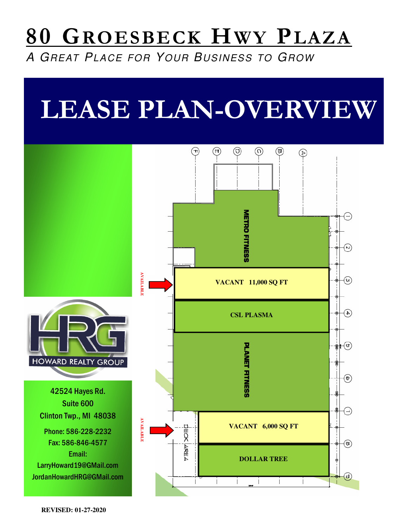### 80 GROESBECK HWY PLAZA

A GREAT PLACE FOR YOUR BUSINESS TO GROW

# LEASE PLAN-OVERVIEW